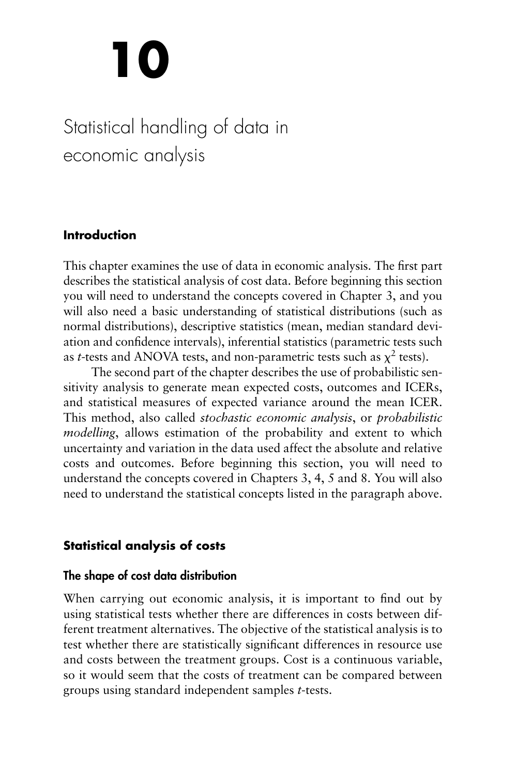# **10**

## Statistical handling of data in economic analysis

#### **Introduction**

This chapter examines the use of data in economic analysis. The first part describes the statistical analysis of cost data. Before beginning this section you will need to understand the concepts covered in Chapter 3, and you will also need a basic understanding of statistical distributions (such as normal distributions), descriptive statistics (mean, median standard deviation and confidence intervals), inferential statistics (parametric tests such as *t*-tests and ANOVA tests, and non-parametric tests such as  $\chi^2$  tests).

The second part of the chapter describes the use of probabilistic sensitivity analysis to generate mean expected costs, outcomes and ICERs, and statistical measures of expected variance around the mean ICER. This method, also called *stochastic economic analysis*, or *probabilistic modelling*, allows estimation of the probability and extent to which uncertainty and variation in the data used affect the absolute and relative costs and outcomes. Before beginning this section, you will need to understand the concepts covered in Chapters 3, 4, 5 and 8. You will also need to understand the statistical concepts listed in the paragraph above.

### **Statistical analysis of costs**

#### **The shape of cost data distribution**

When carrying out economic analysis, it is important to find out by using statistical tests whether there are differences in costs between different treatment alternatives. The objective of the statistical analysis is to test whether there are statistically significant differences in resource use and costs between the treatment groups. Cost is a continuous variable, so it would seem that the costs of treatment can be compared between groups using standard independent samples *t*-tests.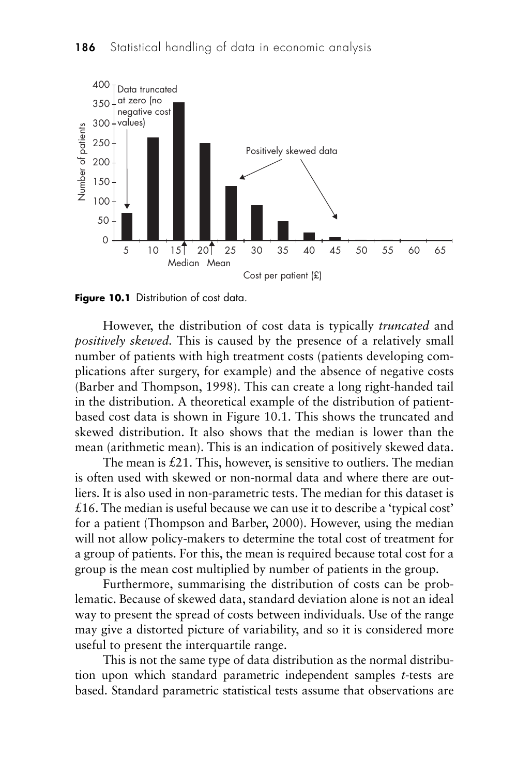

**Figure 10.1** Distribution of cost data.

However, the distribution of cost data is typically *truncated* and *positively skewed.* This is caused by the presence of a relatively small number of patients with high treatment costs (patients developing complications after surgery, for example) and the absence of negative costs (Barber and Thompson, 1998). This can create a long right-handed tail in the distribution. A theoretical example of the distribution of patientbased cost data is shown in Figure 10.1. This shows the truncated and skewed distribution. It also shows that the median is lower than the mean (arithmetic mean). This is an indication of positively skewed data.

The mean is  $£21$ . This, however, is sensitive to outliers. The median is often used with skewed or non-normal data and where there are outliers. It is also used in non-parametric tests. The median for this dataset is £16. The median is useful because we can use it to describe a 'typical cost' for a patient (Thompson and Barber, 2000). However, using the median will not allow policy-makers to determine the total cost of treatment for a group of patients. For this, the mean is required because total cost for a group is the mean cost multiplied by number of patients in the group.

Furthermore, summarising the distribution of costs can be problematic. Because of skewed data, standard deviation alone is not an ideal way to present the spread of costs between individuals. Use of the range may give a distorted picture of variability, and so it is considered more useful to present the interquartile range.

This is not the same type of data distribution as the normal distribution upon which standard parametric independent samples *t*-tests are based. Standard parametric statistical tests assume that observations are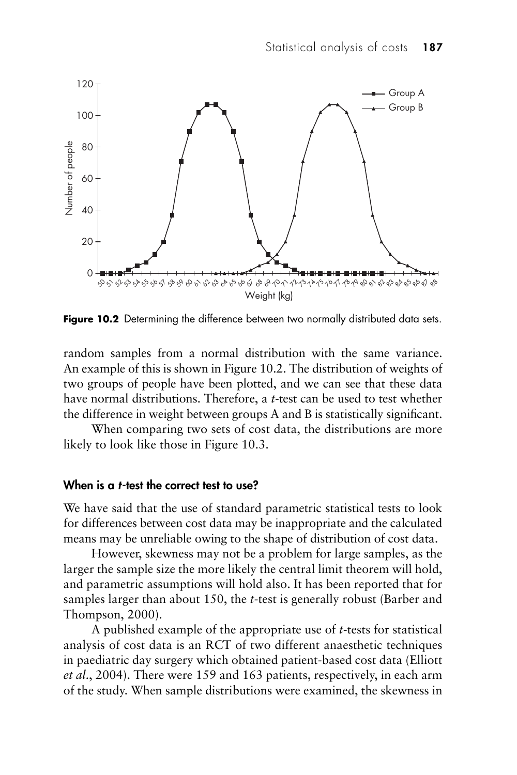

**Figure 10.2** Determining the difference between two normally distributed data sets.

random samples from a normal distribution with the same variance. An example of this is shown in Figure 10.2. The distribution of weights of two groups of people have been plotted, and we can see that these data have normal distributions. Therefore, a *t*-test can be used to test whether the difference in weight between groups A and B is statistically significant.

When comparing two sets of cost data, the distributions are more likely to look like those in Figure 10.3.

#### **When is a** *t***-test the correct test to use?**

We have said that the use of standard parametric statistical tests to look for differences between cost data may be inappropriate and the calculated means may be unreliable owing to the shape of distribution of cost data.

However, skewness may not be a problem for large samples, as the larger the sample size the more likely the central limit theorem will hold, and parametric assumptions will hold also. It has been reported that for samples larger than about 150, the *t*-test is generally robust (Barber and Thompson, 2000).

A published example of the appropriate use of *t*-tests for statistical analysis of cost data is an RCT of two different anaesthetic techniques in paediatric day surgery which obtained patient-based cost data (Elliott *et al*., 2004). There were 159 and 163 patients, respectively, in each arm of the study. When sample distributions were examined, the skewness in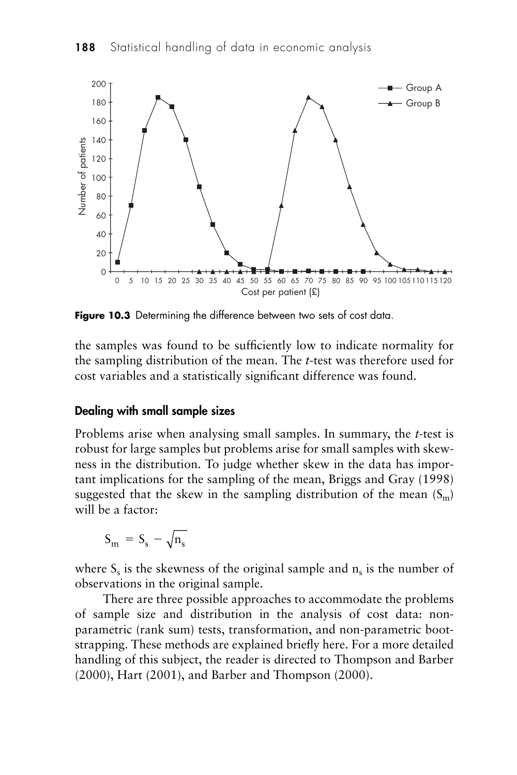

**Figure 10.3** Determining the difference between two sets of cost data.

the samples was found to be sufficiently low to indicate normality for the sampling distribution of the mean. The *t*-test was therefore used for cost variables and a statistically significant difference was found.

#### **Dealing with small sample sizes**

Problems arise when analysing small samples. In summary, the *t*-test is robust for large samples but problems arise for small samples with skewness in the distribution. To judge whether skew in the data has important implications for the sampling of the mean, Briggs and Gray (1998) suggested that the skew in the sampling distribution of the mean  $(S_m)$ will be a factor:

$$
S_m = S_s - \sqrt{n_s}
$$

where  $S_s$  is the skewness of the original sample and  $n_s$  is the number of observations in the original sample.

There are three possible approaches to accommodate the problems of sample size and distribution in the analysis of cost data: nonparametric (rank sum) tests, transformation, and non-parametric bootstrapping. These methods are explained briefly here. For a more detailed handling of this subject, the reader is directed to Thompson and Barber (2000), Hart (2001), and Barber and Thompson (2000).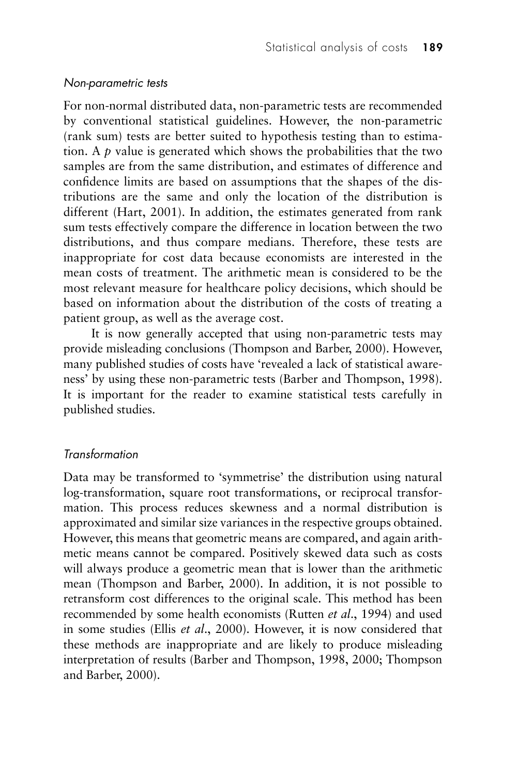#### *Non-parametric tests*

For non-normal distributed data, non-parametric tests are recommended by conventional statistical guidelines. However, the non-parametric (rank sum) tests are better suited to hypothesis testing than to estimation. A *p* value is generated which shows the probabilities that the two samples are from the same distribution, and estimates of difference and confidence limits are based on assumptions that the shapes of the distributions are the same and only the location of the distribution is different (Hart, 2001). In addition, the estimates generated from rank sum tests effectively compare the difference in location between the two distributions, and thus compare medians. Therefore, these tests are inappropriate for cost data because economists are interested in the mean costs of treatment. The arithmetic mean is considered to be the most relevant measure for healthcare policy decisions, which should be based on information about the distribution of the costs of treating a patient group, as well as the average cost.

It is now generally accepted that using non-parametric tests may provide misleading conclusions (Thompson and Barber, 2000). However, many published studies of costs have 'revealed a lack of statistical awareness' by using these non-parametric tests (Barber and Thompson, 1998). It is important for the reader to examine statistical tests carefully in published studies.

#### *Transformation*

Data may be transformed to 'symmetrise' the distribution using natural log-transformation, square root transformations, or reciprocal transformation. This process reduces skewness and a normal distribution is approximated and similar size variances in the respective groups obtained. However, this means that geometric means are compared, and again arithmetic means cannot be compared. Positively skewed data such as costs will always produce a geometric mean that is lower than the arithmetic mean (Thompson and Barber, 2000). In addition, it is not possible to retransform cost differences to the original scale. This method has been recommended by some health economists (Rutten *et al*., 1994) and used in some studies (Ellis *et al*., 2000). However, it is now considered that these methods are inappropriate and are likely to produce misleading interpretation of results (Barber and Thompson, 1998, 2000; Thompson and Barber, 2000).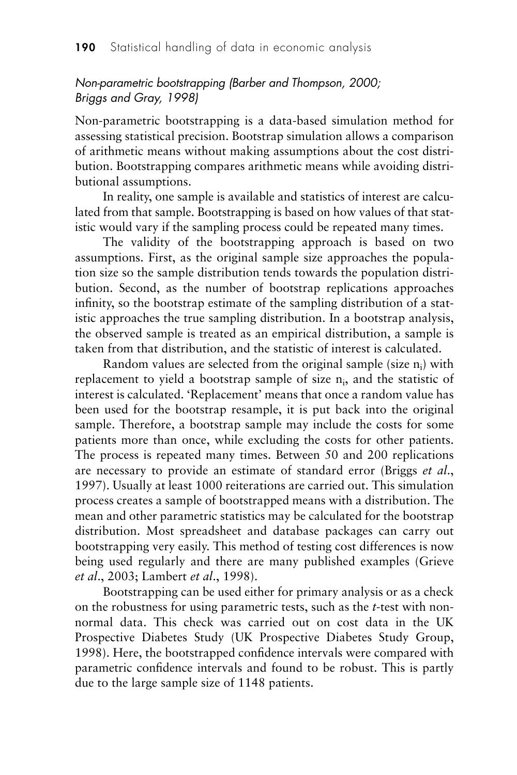#### *Non-parametric bootstrapping (Barber and Thompson, 2000; Briggs and Gray, 1998)*

Non-parametric bootstrapping is a data-based simulation method for assessing statistical precision. Bootstrap simulation allows a comparison of arithmetic means without making assumptions about the cost distribution. Bootstrapping compares arithmetic means while avoiding distributional assumptions.

In reality, one sample is available and statistics of interest are calculated from that sample. Bootstrapping is based on how values of that statistic would vary if the sampling process could be repeated many times.

The validity of the bootstrapping approach is based on two assumptions. First, as the original sample size approaches the population size so the sample distribution tends towards the population distribution. Second, as the number of bootstrap replications approaches infinity, so the bootstrap estimate of the sampling distribution of a statistic approaches the true sampling distribution. In a bootstrap analysis, the observed sample is treated as an empirical distribution, a sample is taken from that distribution, and the statistic of interest is calculated.

Random values are selected from the original sample (size  $n_i$ ) with replacement to yield a bootstrap sample of size n<sub>i</sub>, and the statistic of interest is calculated. 'Replacement' means that once a random value has been used for the bootstrap resample, it is put back into the original sample. Therefore, a bootstrap sample may include the costs for some patients more than once, while excluding the costs for other patients. The process is repeated many times. Between 50 and 200 replications are necessary to provide an estimate of standard error (Briggs *et al*., 1997). Usually at least 1000 reiterations are carried out. This simulation process creates a sample of bootstrapped means with a distribution. The mean and other parametric statistics may be calculated for the bootstrap distribution. Most spreadsheet and database packages can carry out bootstrapping very easily. This method of testing cost differences is now being used regularly and there are many published examples (Grieve *et al*., 2003; Lambert *et al*., 1998).

Bootstrapping can be used either for primary analysis or as a check on the robustness for using parametric tests, such as the *t*-test with nonnormal data. This check was carried out on cost data in the UK Prospective Diabetes Study (UK Prospective Diabetes Study Group, 1998). Here, the bootstrapped confidence intervals were compared with parametric confidence intervals and found to be robust. This is partly due to the large sample size of 1148 patients.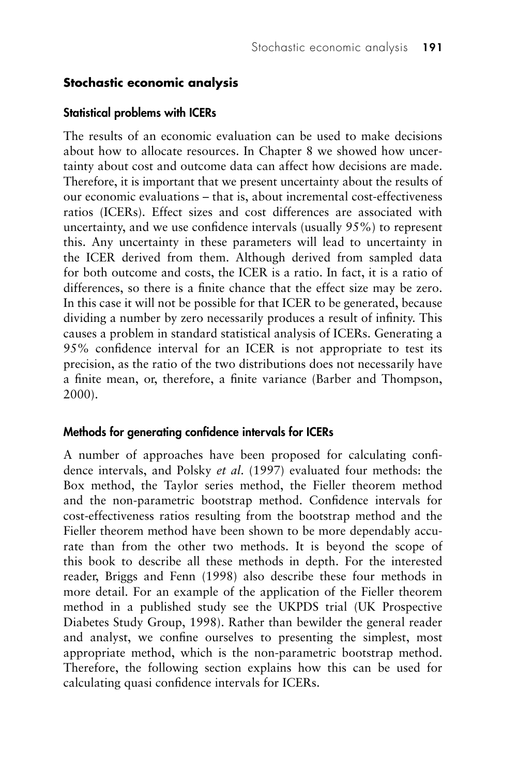#### **Stochastic economic analysis**

#### **Statistical problems with ICERs**

The results of an economic evaluation can be used to make decisions about how to allocate resources. In Chapter 8 we showed how uncertainty about cost and outcome data can affect how decisions are made. Therefore, it is important that we present uncertainty about the results of our economic evaluations – that is, about incremental cost-effectiveness ratios (ICERs). Effect sizes and cost differences are associated with uncertainty, and we use confidence intervals (usually 95%) to represent this. Any uncertainty in these parameters will lead to uncertainty in the ICER derived from them. Although derived from sampled data for both outcome and costs, the ICER is a ratio. In fact, it is a ratio of differences, so there is a finite chance that the effect size may be zero. In this case it will not be possible for that ICER to be generated, because dividing a number by zero necessarily produces a result of infinity. This causes a problem in standard statistical analysis of ICERs. Generating a 95% confidence interval for an ICER is not appropriate to test its precision, as the ratio of the two distributions does not necessarily have a finite mean, or, therefore, a finite variance (Barber and Thompson, 2000).

#### **Methods for generating confidence intervals for ICERs**

A number of approaches have been proposed for calculating confidence intervals, and Polsky *et al*. (1997) evaluated four methods: the Box method, the Taylor series method, the Fieller theorem method and the non-parametric bootstrap method. Confidence intervals for cost-effectiveness ratios resulting from the bootstrap method and the Fieller theorem method have been shown to be more dependably accurate than from the other two methods. It is beyond the scope of this book to describe all these methods in depth. For the interested reader, Briggs and Fenn (1998) also describe these four methods in more detail. For an example of the application of the Fieller theorem method in a published study see the UKPDS trial (UK Prospective Diabetes Study Group, 1998). Rather than bewilder the general reader and analyst, we confine ourselves to presenting the simplest, most appropriate method, which is the non-parametric bootstrap method. Therefore, the following section explains how this can be used for calculating quasi confidence intervals for ICERs.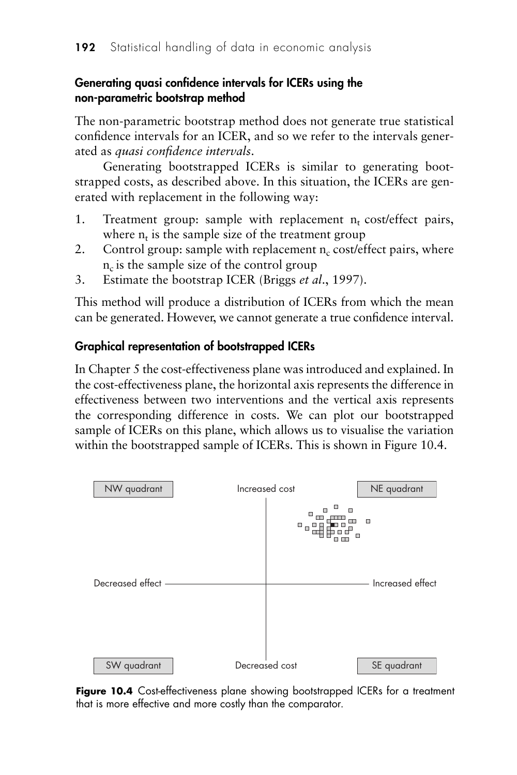#### **Generating quasi confidence intervals for ICERs using the non-parametric bootstrap method**

The non-parametric bootstrap method does not generate true statistical confidence intervals for an ICER, and so we refer to the intervals generated as *quasi confidence intervals*.

Generating bootstrapped ICERs is similar to generating bootstrapped costs, as described above. In this situation, the ICERs are generated with replacement in the following way:

- 1. Treatment group: sample with replacement  $n_t$  cost/effect pairs, where  $n_t$  is the sample size of the treatment group
- 2. Control group: sample with replacement  $n_c$  cost/effect pairs, where  $n<sub>c</sub>$  is the sample size of the control group
- 3. Estimate the bootstrap ICER (Briggs *et al*., 1997).

This method will produce a distribution of ICERs from which the mean can be generated. However, we cannot generate a true confidence interval.

#### **Graphical representation of bootstrapped ICERs**

In Chapter 5 the cost-effectiveness plane was introduced and explained. In the cost-effectiveness plane, the horizontal axis represents the difference in effectiveness between two interventions and the vertical axis represents the corresponding difference in costs. We can plot our bootstrapped sample of ICERs on this plane, which allows us to visualise the variation within the bootstrapped sample of ICERs. This is shown in Figure 10.4.



**Figure 10.4** Cost-effectiveness plane showing bootstrapped ICERs for a treatment that is more effective and more costly than the comparator.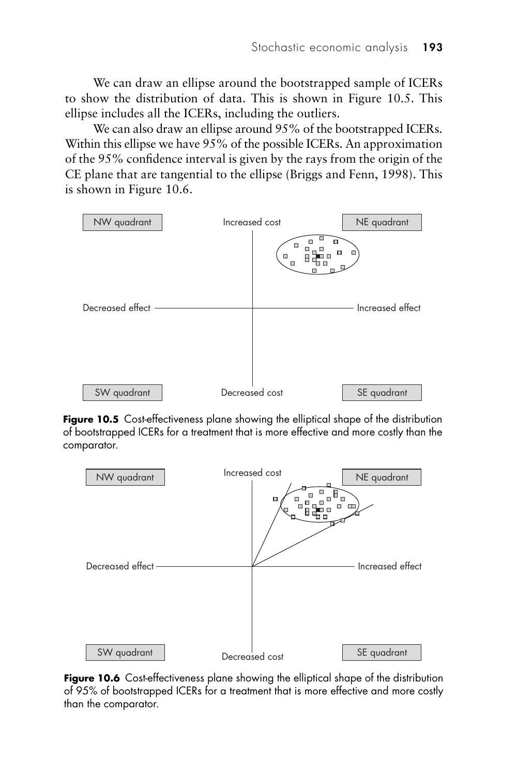We can draw an ellipse around the bootstrapped sample of ICERs to show the distribution of data. This is shown in Figure 10.5. This ellipse includes all the ICERs, including the outliers.

We can also draw an ellipse around 95% of the bootstrapped ICERs. Within this ellipse we have 95% of the possible ICERs. An approximation of the 95% confidence interval is given by the rays from the origin of the CE plane that are tangential to the ellipse (Briggs and Fenn, 1998). This is shown in Figure 10.6.



Figure 10.5 Cost-effectiveness plane showing the elliptical shape of the distribution of bootstrapped ICERs for a treatment that is more effective and more costly than the comparator.



**Figure 10.6** Cost-effectiveness plane showing the elliptical shape of the distribution of 95% of bootstrapped ICERs for a treatment that is more effective and more costly than the comparator.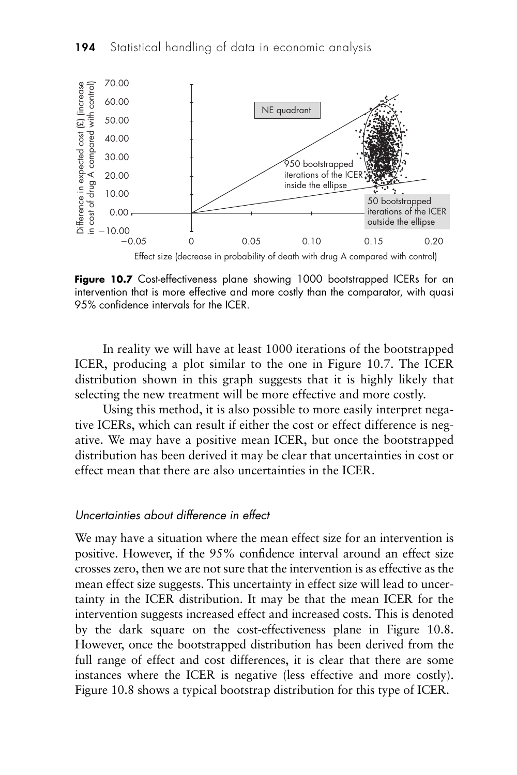

**Figure 10.7** Cost-effectiveness plane showing 1000 bootstrapped ICERs for an intervention that is more effective and more costly than the comparator, with quasi 95% confidence intervals for the ICER.

In reality we will have at least 1000 iterations of the bootstrapped ICER, producing a plot similar to the one in Figure 10.7. The ICER distribution shown in this graph suggests that it is highly likely that selecting the new treatment will be more effective and more costly.

Using this method, it is also possible to more easily interpret negative ICERs, which can result if either the cost or effect difference is negative. We may have a positive mean ICER, but once the bootstrapped distribution has been derived it may be clear that uncertainties in cost or effect mean that there are also uncertainties in the ICER.

#### *Uncertainties about difference in effect*

We may have a situation where the mean effect size for an intervention is positive. However, if the 95% confidence interval around an effect size crosses zero, then we are not sure that the intervention is as effective as the mean effect size suggests. This uncertainty in effect size will lead to uncertainty in the ICER distribution. It may be that the mean ICER for the intervention suggests increased effect and increased costs. This is denoted by the dark square on the cost-effectiveness plane in Figure 10.8. However, once the bootstrapped distribution has been derived from the full range of effect and cost differences, it is clear that there are some instances where the ICER is negative (less effective and more costly). Figure 10.8 shows a typical bootstrap distribution for this type of ICER.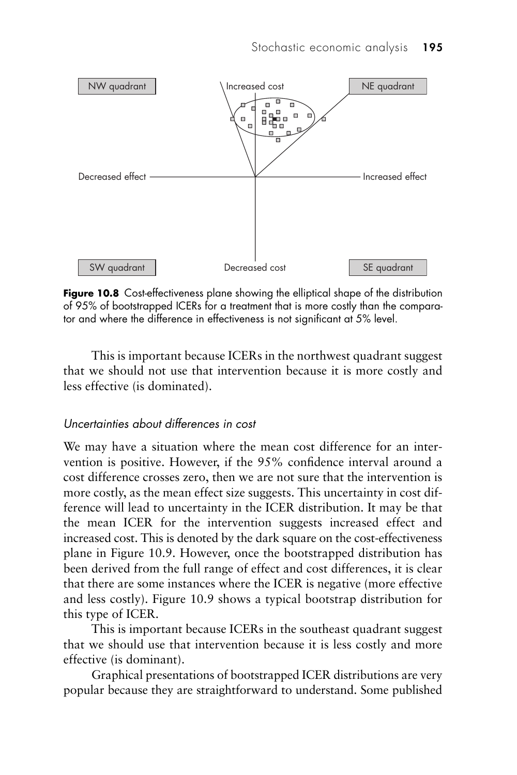

**Figure 10.8** Cost-effectiveness plane showing the elliptical shape of the distribution of 95% of bootstrapped ICERs for a treatment that is more costly than the comparator and where the difference in effectiveness is not significant at 5% level.

This is important because ICERs in the northwest quadrant suggest that we should not use that intervention because it is more costly and less effective (is dominated).

#### *Uncertainties about differences in cost*

We may have a situation where the mean cost difference for an intervention is positive. However, if the 95% confidence interval around a cost difference crosses zero, then we are not sure that the intervention is more costly, as the mean effect size suggests. This uncertainty in cost difference will lead to uncertainty in the ICER distribution. It may be that the mean ICER for the intervention suggests increased effect and increased cost. This is denoted by the dark square on the cost-effectiveness plane in Figure 10.9. However, once the bootstrapped distribution has been derived from the full range of effect and cost differences, it is clear that there are some instances where the ICER is negative (more effective and less costly). Figure 10.9 shows a typical bootstrap distribution for this type of ICER.

This is important because ICERs in the southeast quadrant suggest that we should use that intervention because it is less costly and more effective (is dominant).

Graphical presentations of bootstrapped ICER distributions are very popular because they are straightforward to understand. Some published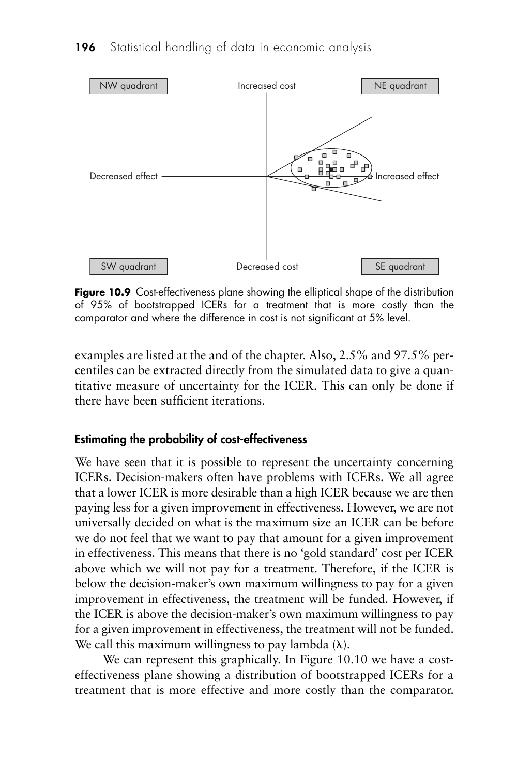

**Figure 10.9** Cost-effectiveness plane showing the elliptical shape of the distribution of 95% of bootstrapped ICERs for a treatment that is more costly than the comparator and where the difference in cost is not significant at 5% level.

examples are listed at the and of the chapter. Also, 2.5% and 97.5% percentiles can be extracted directly from the simulated data to give a quantitative measure of uncertainty for the ICER. This can only be done if there have been sufficient iterations.

#### **Estimating the probability of cost-effectiveness**

We have seen that it is possible to represent the uncertainty concerning ICERs. Decision-makers often have problems with ICERs. We all agree that a lower ICER is more desirable than a high ICER because we are then paying less for a given improvement in effectiveness. However, we are not universally decided on what is the maximum size an ICER can be before we do not feel that we want to pay that amount for a given improvement in effectiveness. This means that there is no 'gold standard' cost per ICER above which we will not pay for a treatment. Therefore, if the ICER is below the decision-maker's own maximum willingness to pay for a given improvement in effectiveness, the treatment will be funded. However, if the ICER is above the decision-maker's own maximum willingness to pay for a given improvement in effectiveness, the treatment will not be funded. We call this maximum willingness to pay lambda  $(\lambda)$ .

We can represent this graphically. In Figure 10.10 we have a costeffectiveness plane showing a distribution of bootstrapped ICERs for a treatment that is more effective and more costly than the comparator.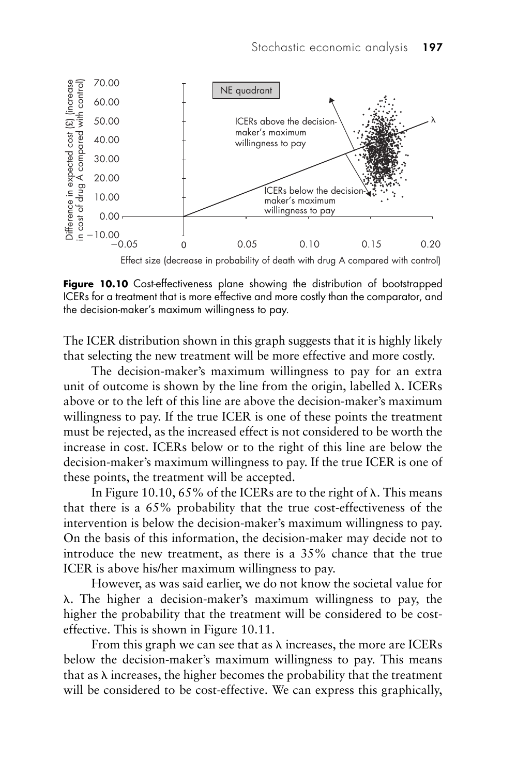

**Figure 10.10** Cost-effectiveness plane showing the distribution of bootstrapped ICERs for a treatment that is more effective and more costly than the comparator, and the decision-maker's maximum willingness to pay.

The ICER distribution shown in this graph suggests that it is highly likely that selecting the new treatment will be more effective and more costly.

The decision-maker's maximum willingness to pay for an extra unit of outcome is shown by the line from the origin, labelled  $\lambda$ . ICERs above or to the left of this line are above the decision-maker's maximum willingness to pay. If the true ICER is one of these points the treatment must be rejected, as the increased effect is not considered to be worth the increase in cost. ICERs below or to the right of this line are below the decision-maker's maximum willingness to pay. If the true ICER is one of these points, the treatment will be accepted.

In Figure 10.10, 65% of the ICERs are to the right of  $\lambda$ . This means that there is a 65% probability that the true cost-effectiveness of the intervention is below the decision-maker's maximum willingness to pay. On the basis of this information, the decision-maker may decide not to introduce the new treatment, as there is a 35% chance that the true ICER is above his/her maximum willingness to pay.

However, as was said earlier, we do not know the societal value for . The higher a decision-maker's maximum willingness to pay, the higher the probability that the treatment will be considered to be costeffective. This is shown in Figure 10.11.

From this graph we can see that as  $\lambda$  increases, the more are ICERs below the decision-maker's maximum willingness to pay. This means that as  $\lambda$  increases, the higher becomes the probability that the treatment will be considered to be cost-effective. We can express this graphically,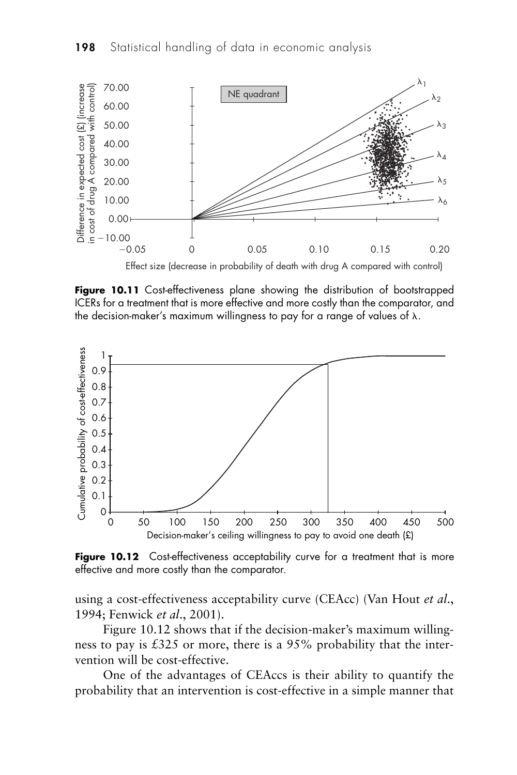

Effect size (decrease in probability of death with drug A compared with control)

**Figure 10.11** Cost-effectiveness plane showing the distribution of bootstrapped ICERs for a treatment that is more effective and more costly than the comparator, and the decision-maker's maximum willingness to pay for a range of values of  $\lambda$ .



**Figure 10.12** Cost-effectiveness acceptability curve for a treatment that is more effective and more costly than the comparator.

using a cost-effectiveness acceptability curve (CEAcc) (Van Hout *et al*., 1994; Fenwick *et al*., 2001).

Figure 10.12 shows that if the decision-maker's maximum willingness to pay is  $\text{\pounds}325$  or more, there is a 95% probability that the intervention will be cost-effective.

One of the advantages of CEAccs is their ability to quantify the probability that an intervention is cost-effective in a simple manner that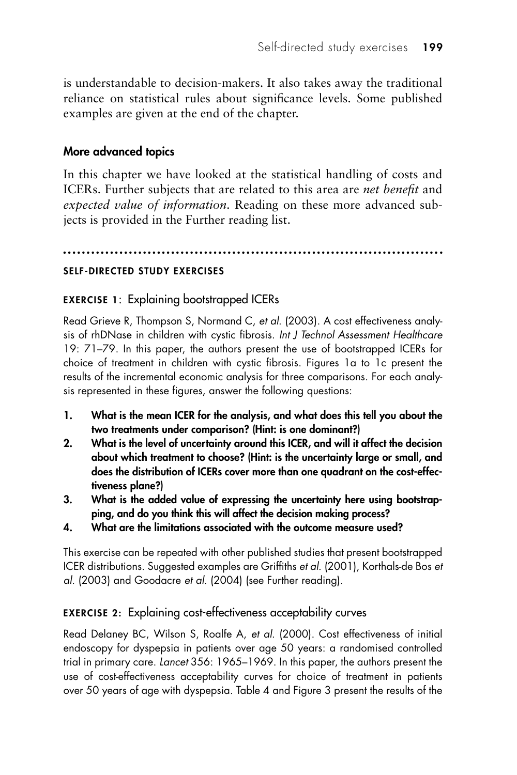is understandable to decision-makers. It also takes away the traditional reliance on statistical rules about significance levels. Some published examples are given at the end of the chapter.

#### **More advanced topics**

In this chapter we have looked at the statistical handling of costs and ICERs. Further subjects that are related to this area are *net benefit* and *expected value of information*. Reading on these more advanced subjects is provided in the Further reading list.

#### **SELF-DIRECTED STUDY EXERCISES**

#### **EXERCISE 1: Explaining bootstrapped ICERs**

Read Grieve R, Thompson S, Normand C, *et al*. (2003). A cost effectiveness analysis of rhDNase in children with cystic fibrosis. *Int J Technol Assessment Healthcare* 19: 71–79. In this paper, the authors present the use of bootstrapped ICERs for choice of treatment in children with cystic fibrosis. Figures 1a to 1c present the results of the incremental economic analysis for three comparisons. For each analysis represented in these figures, answer the following questions:

- **1. What is the mean ICER for the analysis, and what does this tell you about the two treatments under comparison? (Hint: is one dominant?)**
- **2. What is the level of uncertainty around this ICER, and will it affect the decision about which treatment to choose? (Hint: is the uncertainty large or small, and does the distribution of ICERs cover more than one quadrant on the cost-effectiveness plane?)**
- **3. What is the added value of expressing the uncertainty here using bootstrapping, and do you think this will affect the decision making process?**
- **4. What are the limitations associated with the outcome measure used?**

This exercise can be repeated with other published studies that present bootstrapped ICER distributions. Suggested examples are Griffiths *et al*. (2001), Korthals-de Bos *et al*. (2003) and Goodacre *et al*. (2004) (see Further reading).

#### **EXERCISE 2:** Explaining cost-effectiveness acceptability curves

Read Delaney BC, Wilson S, Roalfe A, *et al*. (2000). Cost effectiveness of initial endoscopy for dyspepsia in patients over age 50 years: a randomised controlled trial in primary care. *Lancet* 356: 1965–1969. In this paper, the authors present the use of cost-effectiveness acceptability curves for choice of treatment in patients over 50 years of age with dyspepsia. Table 4 and Figure 3 present the results of the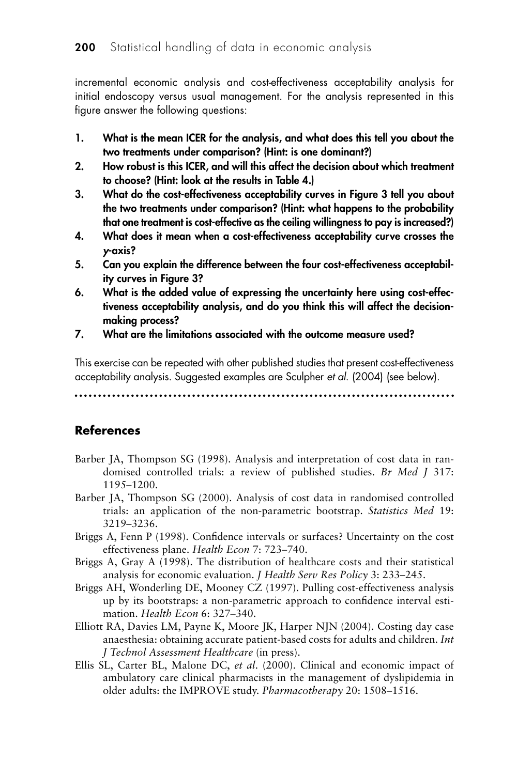incremental economic analysis and cost-effectiveness acceptability analysis for initial endoscopy versus usual management. For the analysis represented in this figure answer the following questions:

- **1. What is the mean ICER for the analysis, and what does this tell you about the two treatments under comparison? (Hint: is one dominant?)**
- **2. How robust is this ICER, and will this affect the decision about which treatment to choose? (Hint: look at the results in Table 4.)**
- **3. What do the cost-effectiveness acceptability curves in Figure 3 tell you about the two treatments under comparison? (Hint: what happens to the probability that one treatment is cost-effective as the ceiling willingness to pay is increased?)**
- **4. What does it mean when a cost-effectiveness acceptability curve crosses the**  *y***-axis?**
- **5. Can you explain the difference between the four cost-effectiveness acceptability curves in Figure 3?**
- **6. What is the added value of expressing the uncertainty here using cost-effectiveness acceptability analysis, and do you think this will affect the decisionmaking process?**
- **7. What are the limitations associated with the outcome measure used?**

This exercise can be repeated with other published studies that present cost-effectiveness acceptability analysis. Suggested examples are Sculpher *et al*. (2004) (see below).

#### **References**

- Barber JA, Thompson SG (1998). Analysis and interpretation of cost data in randomised controlled trials: a review of published studies. *Br Med J* 317: 1195–1200.
- Barber JA, Thompson SG (2000). Analysis of cost data in randomised controlled trials: an application of the non-parametric bootstrap. *Statistics Med* 19: 3219–3236.
- Briggs A, Fenn P (1998). Confidence intervals or surfaces? Uncertainty on the cost effectiveness plane. *Health Econ* 7: 723–740.
- Briggs A, Gray A (1998). The distribution of healthcare costs and their statistical analysis for economic evaluation. *J Health Serv Res Policy* 3: 233–245.
- Briggs AH, Wonderling DE, Mooney CZ (1997). Pulling cost-effectiveness analysis up by its bootstraps: a non-parametric approach to confidence interval estimation. *Health Econ* 6: 327–340.
- Elliott RA, Davies LM, Payne K, Moore JK, Harper NJN (2004). Costing day case anaesthesia: obtaining accurate patient-based costs for adults and children. *Int J Technol Assessment Healthcare* (in press).
- Ellis SL, Carter BL, Malone DC, *et al*. (2000). Clinical and economic impact of ambulatory care clinical pharmacists in the management of dyslipidemia in older adults: the IMPROVE study. *Pharmacotherapy* 20: 1508–1516.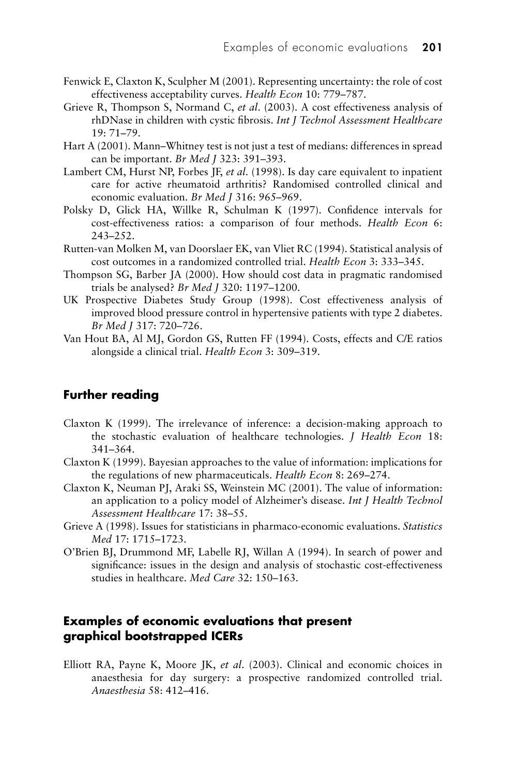- Fenwick E, Claxton K, Sculpher M (2001). Representing uncertainty: the role of cost effectiveness acceptability curves. *Health Econ* 10: 779–787.
- Grieve R, Thompson S, Normand C, *et al*. (2003). A cost effectiveness analysis of rhDNase in children with cystic fibrosis. *Int J Technol Assessment Healthcare* 19: 71–79.
- Hart A (2001). Mann–Whitney test is not just a test of medians: differences in spread can be important. *Br Med J* 323: 391–393.
- Lambert CM, Hurst NP, Forbes JF, *et al*. (1998). Is day care equivalent to inpatient care for active rheumatoid arthritis? Randomised controlled clinical and economic evaluation. *Br Med J* 316: 965–969.
- Polsky D, Glick HA, Willke R, Schulman K (1997). Confidence intervals for cost-effectiveness ratios: a comparison of four methods. *Health Econ* 6: 243–252.
- Rutten-van Molken M, van Doorslaer EK, van Vliet RC (1994). Statistical analysis of cost outcomes in a randomized controlled trial. *Health Econ* 3: 333–345.
- Thompson SG, Barber JA (2000). How should cost data in pragmatic randomised trials be analysed? *Br Med J* 320: 1197–1200.
- UK Prospective Diabetes Study Group (1998). Cost effectiveness analysis of improved blood pressure control in hypertensive patients with type 2 diabetes. *Br Med J* 317: 720–726.
- Van Hout BA, Al MJ, Gordon GS, Rutten FF (1994). Costs, effects and C/E ratios alongside a clinical trial. *Health Econ* 3: 309–319.

#### **Further reading**

- Claxton K (1999). The irrelevance of inference: a decision-making approach to the stochastic evaluation of healthcare technologies. *J Health Econ* 18: 341–364.
- Claxton K (1999). Bayesian approaches to the value of information: implications for the regulations of new pharmaceuticals. *Health Econ* 8: 269–274.
- Claxton K, Neuman PJ, Araki SS, Weinstein MC (2001). The value of information: an application to a policy model of Alzheimer's disease. *Int J Health Technol Assessment Healthcare* 17: 38–55.
- Grieve A (1998). Issues for statisticians in pharmaco-economic evaluations. *Statistics Med* 17: 1715–1723.
- O'Brien BJ, Drummond MF, Labelle RJ, Willan A (1994). In search of power and significance: issues in the design and analysis of stochastic cost-effectiveness studies in healthcare. *Med Care* 32: 150–163.

#### **Examples of economic evaluations that present graphical bootstrapped ICERs**

Elliott RA, Payne K, Moore JK, *et al*. (2003). Clinical and economic choices in anaesthesia for day surgery: a prospective randomized controlled trial. *Anaesthesia* 58: 412–416.